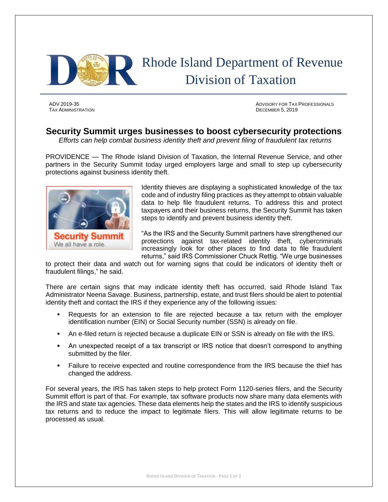

TAX ADMINISTRATION DECEMBER 5, 2019

ADV 2019-35 ADVISORY FOR TAX PROFESSIONALS

## **Security Summit urges businesses to boost cybersecurity protections**

*Efforts can help combat business identity theft and prevent filing of fraudulent tax returns*

PROVIDENCE — The Rhode Island Division of Taxation, the Internal Revenue Service, and other partners in the Security Summit today urged employers large and small to step up cybersecurity protections against business identity theft.



Identity thieves are displaying a sophisticated knowledge of the tax code and of industry filing practices as they attempt to obtain valuable data to help file fraudulent returns. To address this and protect taxpayers and their business returns, the Security Summit has taken steps to identify and prevent business identity theft.

"As the IRS and the Security Summit partners have strengthened our protections against tax-related identity theft, cybercriminals increasingly look for other places to find data to file fraudulent returns," said IRS Commissioner Chuck Rettig. "We urge businesses

to protect their data and watch out for warning signs that could be indicators of identity theft or fraudulent filings," he said.

There are certain signs that may indicate identity theft has occurred, said Rhode Island Tax Administrator Neena Savage. Business, partnership, estate, and trust filers should be alert to potential identity theft and contact the IRS if they experience any of the following issues:

- Requests for an extension to file are rejected because a tax return with the employer identification number (EIN) or Social Security number (SSN) is already on file.
- An e-filed return is rejected because a duplicate EIN or SSN is already on file with the IRS.
- An unexpected receipt of a tax transcript or IRS notice that doesn't correspond to anything submitted by the filer.
- **•** Failure to receive expected and routine correspondence from the IRS because the thief has changed the address.

For several years, the IRS has taken steps to help protect Form 1120-series filers, and the Security Summit effort is part of that. For example, tax software products now share many data elements with the IRS and state tax agencies. These data elements help the states and the IRS to identify suspicious tax returns and to reduce the impact to legitimate filers. This will allow legitimate returns to be processed as usual.